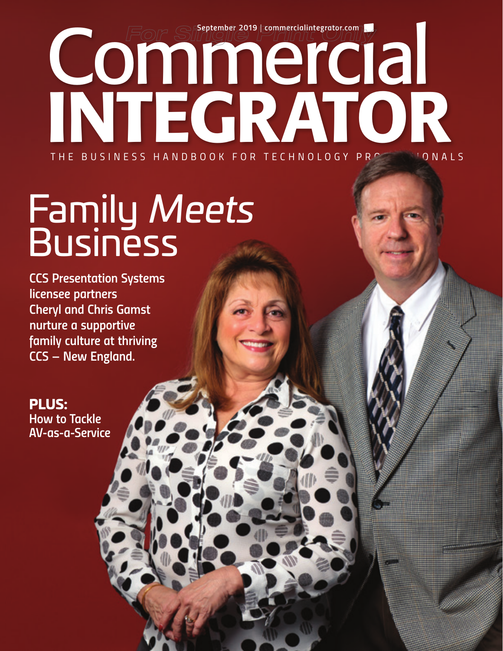September 2019 | commercialintegrator.com INTEGRATOR *THE BUSINESS HANDBOOK FOR TECHNOLOGY PROFESSIONALS*

# Family *Meets* Business

*CCS Presentation Systems licensee partners Cheryl and Chris Gamst nurture a supportive family culture at thriving CCS – New England.*

PLUS: *How to Tackle AV-as-a-Service*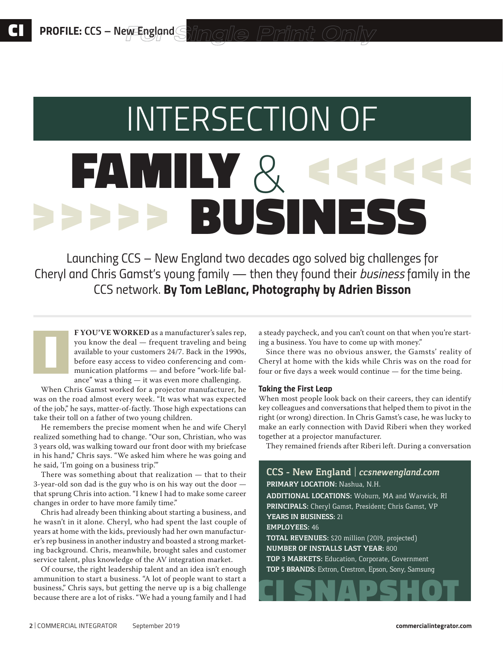# *INTERSECTION OF*  FAMILY *&* BUSINESS >>>>> >>>>>>

*Launching CCS – New England two decades ago solved big challenges for Cheryl and Chris Gamst's young family — then they found their business family in the CCS network. By Tom LeBlanc, Photography by Adrien Bisson*

**F YOU'VE WORKED** as a manufacturer's sales rep, you know the deal — frequent traveling and being available to your customers 24/7. Back in the 1990s, before easy access to video conferencing and communication platforms — and before "work-life balance" was a thing — it was even more challenging.

When Chris Gamst worked for a projector manufacturer, he was on the road almost every week. "It was what was expected of the job," he says, matter-of-factly. Those high expectations can take their toll on a father of two young children.

I

He remembers the precise moment when he and wife Cheryl realized something had to change. "Our son, Christian, who was 3 years old, was walking toward our front door with my briefcase in his hand," Chris says. "We asked him where he was going and he said, 'I'm going on a business trip.'"

There was something about that realization — that to their 3-year-old son dad is the guy who is on his way out the door that sprung Chris into action. "I knew I had to make some career changes in order to have more family time."

Chris had already been thinking about starting a business, and he wasn't in it alone. Cheryl, who had spent the last couple of years at home with the kids, previously had her own manufacturer's rep business in another industry and boasted a strong marketing background. Chris, meanwhile, brought sales and customer service talent, plus knowledge of the AV integration market.

Of course, the right leadership talent and an idea isn't enough ammunition to start a business. "A lot of people want to start a business," Chris says, but getting the nerve up is a big challenge because there are a lot of risks. "We had a young family and I had

a steady paycheck, and you can't count on that when you're starting a business. You have to come up with money."

Since there was no obvious answer, the Gamsts' reality of Cheryl at home with the kids while Chris was on the road for four or five days a week would continue — for the time being.

### *Taking the First Leap*

When most people look back on their careers, they can identify key colleagues and conversations that helped them to pivot in the right (or wrong) direction. In Chris Gamst's case, he was lucky to make an early connection with David Riberi when they worked together at a projector manufacturer.

They remained friends after Riberi left. During a conversation

## **CCS – New England** | *ccsnewengland.com* **PRIMARY LOCATION:** Nashua, N.H. **ADDITIONAL LOCATIONS:** Woburn, MA and Warwick, RI **PRINCIPALS:** Cheryl Gamst, President; Chris Gamst, VP **YEARS IN BUSINESS:** 21 **EMPLOYEES:** 46 **TOTAL REVENUES:** \$20 million (2019, projected) **NUMBER OF INSTALLS LAST YEAR:** 800 **TOP 3 MARKETS:** Education, Corporate, Government **TOP 5 BRANDS:** Extron, Crestron, Epson, Sony, Samsung CI SNAPSHOT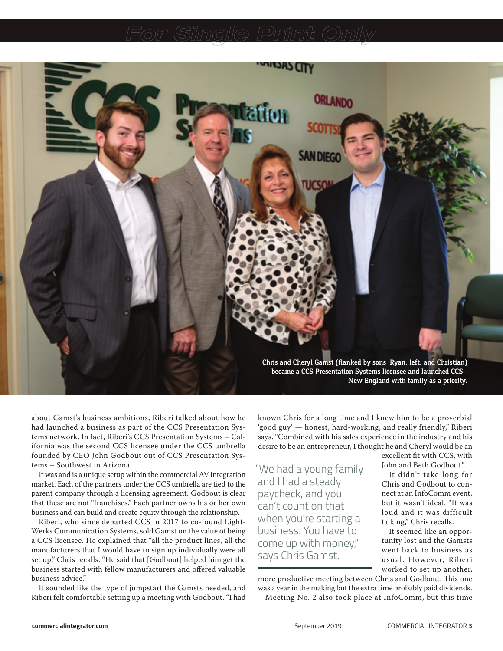

about Gamst's business ambitions, Riberi talked about how he had launched a business as part of the CCS Presentation Systems network. In fact, Riberi's CCS Presentation Systems – California was the second CCS licensee under the CCS umbrella founded by CEO John Godbout out of CCS Presentation Systems – Southwest in Arizona.

It was and is a unique setup within the commercial AV integration market. Each of the partners under the CCS umbrella are tied to the parent company through a licensing agreement. Godbout is clear that these are not "franchises." Each partner owns his or her own business and can build and create equity through the relationship.

Riberi, who since departed CCS in 2017 to co-found Light-Werks Communication Systems, sold Gamst on the value of being a CCS licensee. He explained that "all the product lines, all the manufacturers that I would have to sign up individually were all set up," Chris recalls. "He said that [Godbout] helped him get the business started with fellow manufacturers and offered valuable business advice."

It sounded like the type of jumpstart the Gamsts needed, and Riberi felt comfortable setting up a meeting with Godbout. "I had known Chris for a long time and I knew him to be a proverbial 'good guy' — honest, hard-working, and really friendly," Riberi says. "Combined with his sales experience in the industry and his desire to be an entrepreneur, I thought he and Cheryl would be an

"We had a young family and I had a steady paycheck, and you can't count on that when you're starting a business. You have to come up with money," says Chris Gamst.

excellent fit with CCS, with John and Beth Godbout."

It didn't take long for Chris and Godbout to connect at an InfoComm event, but it wasn't ideal. "It was loud and it was difficult talking," Chris recalls.

It seemed like an opportunity lost and the Gamsts went back to business as usual. However, Riberi worked to set up another,

more productive meeting between Chris and Godbout. This one was a year in the making but the extra time probably paid dividends. Meeting No. 2 also took place at InfoComm, but this time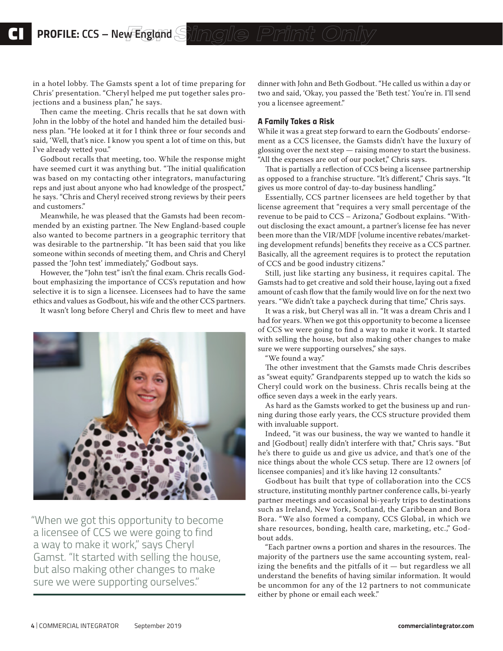in a hotel lobby. The Gamsts spent a lot of time preparing for Chris' presentation. "Cheryl helped me put together sales projections and a business plan," he says.

Then came the meeting. Chris recalls that he sat down with John in the lobby of the hotel and handed him the detailed business plan. "He looked at it for I think three or four seconds and said, 'Well, that's nice. I know you spent a lot of time on this, but I've already vetted you."

Godbout recalls that meeting, too. While the response might have seemed curt it was anything but. "The initial qualification was based on my contacting other integrators, manufacturing reps and just about anyone who had knowledge of the prospect," he says. "Chris and Cheryl received strong reviews by their peers and customers."

Meanwhile, he was pleased that the Gamsts had been recommended by an existing partner. The New England-based couple also wanted to become partners in a geographic territory that was desirable to the partnership. "It has been said that you like someone within seconds of meeting them, and Chris and Cheryl passed the 'John test' immediately," Godbout says.

However, the "John test" isn't the final exam. Chris recalls Godbout emphasizing the importance of CCS's reputation and how selective it is to sign a licensee. Licensees had to have the same ethics and values as Godbout, his wife and the other CCS partners.

It wasn't long before Cheryl and Chris flew to meet and have



"When we got this opportunity to become a licensee of CCS we were going to find a way to make it work," says Cheryl Gamst. "It started with selling the house, but also making other changes to make sure we were supporting ourselves."

dinner with John and Beth Godbout. "He called us within a day or two and said, 'Okay, you passed the 'Beth test.' You're in. I'll send you a licensee agreement."

#### *A Family Takes a Risk*

While it was a great step forward to earn the Godbouts' endorsement as a CCS licensee, the Gamsts didn't have the luxury of glossing over the next step — raising money to start the business. "All the expenses are out of our pocket," Chris says.

That is partially a reflection of CCS being a licensee partnership as opposed to a franchise structure. "It's different," Chris says. "It gives us more control of day-to-day business handling."

Essentially, CCS partner licensees are held together by that license agreement that "requires a very small percentage of the revenue to be paid to CCS – Arizona," Godbout explains. "Without disclosing the exact amount, a partner's license fee has never been more than the VIR/MDF [volume incentive rebates/marketing development refunds] benefits they receive as a CCS partner. Basically, all the agreement requires is to protect the reputation of CCS and be good industry citizens."

Still, just like starting any business, it requires capital. The Gamsts had to get creative and sold their house, laying out a fixed amount of cash flow that the family would live on for the next two years. "We didn't take a paycheck during that time," Chris says.

It was a risk, but Cheryl was all in. "It was a dream Chris and I had for years. When we got this opportunity to become a licensee of CCS we were going to find a way to make it work. It started with selling the house, but also making other changes to make sure we were supporting ourselves," she says.

"We found a way."

The other investment that the Gamsts made Chris describes as "sweat equity." Grandparents stepped up to watch the kids so Cheryl could work on the business. Chris recalls being at the office seven days a week in the early years.

As hard as the Gamsts worked to get the business up and running during those early years, the CCS structure provided them with invaluable support.

Indeed, "it was our business, the way we wanted to handle it and [Godbout] really didn't interfere with that," Chris says. "But he's there to guide us and give us advice, and that's one of the nice things about the whole CCS setup. There are 12 owners [of licensee companies] and it's like having 12 consultants."

Godbout has built that type of collaboration into the CCS structure, instituting monthly partner conference calls, bi-yearly partner meetings and occasional bi-yearly trips to destinations such as Ireland, New York, Scotland, the Caribbean and Bora Bora. "We also formed a company, CCS Global, in which we share resources, bonding, health care, marketing, etc.," Godbout adds.

"Each partner owns a portion and shares in the resources. The majority of the partners use the same accounting system, realizing the benefits and the pitfalls of it — but regardless we all understand the benefits of having similar information. It would be uncommon for any of the 12 partners to not communicate either by phone or email each week."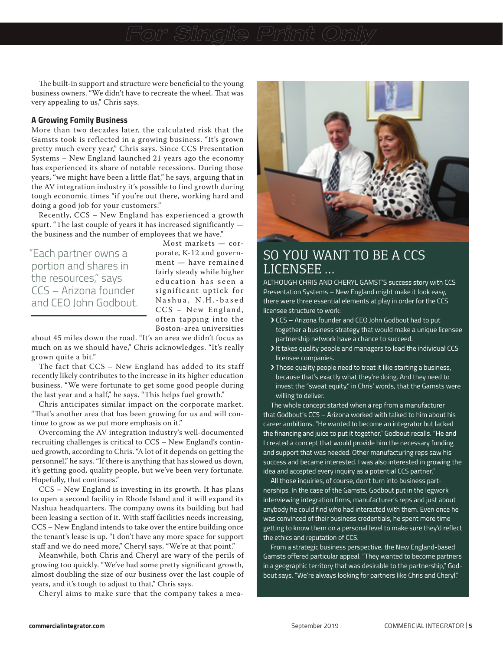The built-in support and structure were beneficial to the young business owners. "We didn't have to recreate the wheel. That was very appealing to us," Chris says.

#### *A Growing Family Business*

More than two decades later, the calculated risk that the Gamsts took is reflected in a growing business. "It's grown pretty much every year," Chris says. Since CCS Presentation Systems – New England launched 21 years ago the economy has experienced its share of notable recessions. During those years, "we might have been a little flat," he says, arguing that in the AV integration industry it's possible to find growth during tough economic times "if you're out there, working hard and doing a good job for your customers."

Recently, CCS – New England has experienced a growth spurt. "The last couple of years it has increased significantly the business and the number of employees that we have."

"Each partner owns a portion and shares in the resources," says CCS – Arizona founder and CEO John Godbout.

Most markets — corporate, K-12 and government — have remained fairly steady while higher education has seen a significant uptick for Nashua, N.H.-based  $CCS - New England,$ often tapping into the Boston-area universities

about 45 miles down the road. "It's an area we didn't focus as much on as we should have," Chris acknowledges. "It's really grown quite a bit."

The fact that CCS – New England has added to its staff recently likely contributes to the increase in its higher education business. "We were fortunate to get some good people during the last year and a half," he says. "This helps fuel growth."

Chris anticipates similar impact on the corporate market. "That's another area that has been growing for us and will continue to grow as we put more emphasis on it."

Overcoming the AV integration industry's well-documented recruiting challenges is critical to CCS – New England's continued growth, according to Chris. "A lot of it depends on getting the personnel," he says. "If there is anything that has slowed us down, it's getting good, quality people, but we've been very fortunate. Hopefully, that continues."

CCS – New England is investing in its growth. It has plans to open a second facility in Rhode Island and it will expand its Nashua headquarters. The company owns its building but had been leasing a section of it. With staff facilities needs increasing, CCS – New England intends to take over the entire building once the tenant's lease is up. "I don't have any more space for support staff and we do need more," Cheryl says. "We're at that point."

Meanwhile, both Chris and Cheryl are wary of the perils of growing too quickly. "We've had some pretty significant growth, almost doubling the size of our business over the last couple of years, and it's tough to adjust to that," Chris says.

Cheryl aims to make sure that the company takes a mea-



# SO YOU WANT TO BE A CCS LICENSEE …

ALTHOUGH CHRIS AND CHERYL GAMST'S success story with CCS Presentation Systems – New England might make it look easy, there were three essential elements at play in order for the CCS licensee structure to work:

- › CCS Arizona founder and CEO John Godbout had to put together a business strategy that would make a unique licensee partnership network have a chance to succeed.
- › It takes quality people and managers to lead the individual CCS licensee companies.
- › Those quality people need to treat it like starting a business, because that's exactly what they're doing. And they need to invest the "sweat equity," in Chris' words, that the Gamsts were willing to deliver.

The whole concept started when a rep from a manufacturer that Godbout's CCS – Arizona worked with talked to him about his career ambitions. "He wanted to become an integrator but lacked the financing and juice to put it together," Godbout recalls. "He and I created a concept that would provide him the necessary funding and support that was needed. Other manufacturing reps saw his success and became interested. I was also interested in growing the idea and accepted every inquiry as a potential CCS partner."

All those inquiries, of course, don't turn into business partnerships. In the case of the Gamsts, Godbout put in the legwork interviewing integration firms, manufacturer's reps and just about anybody he could find who had interacted with them. Even once he was convinced of their business credentials, he spent more time getting to know them on a personal level to make sure they'd reflect the ethics and reputation of CCS.

From a strategic business perspective, the New England-based Gamsts offered particular appeal. "They wanted to become partners in a geographic territory that was desirable to the partnership," Godbout says. "We're always looking for partners like Chris and Cheryl."